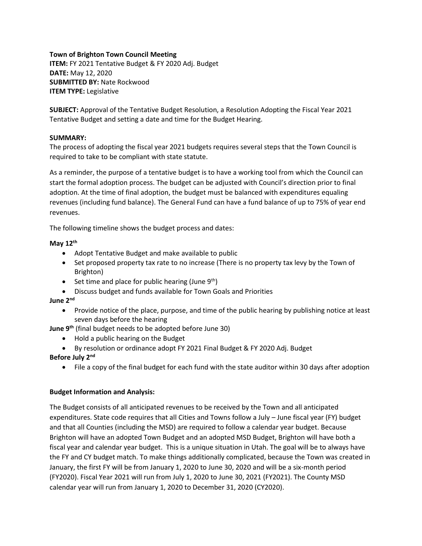## **Town of Brighton Town Council Meeting**

**ITEM:** FY 2021 Tentative Budget & FY 2020 Adj. Budget **DATE:** May 12, 2020 **SUBMITTED BY:** Nate Rockwood **ITEM TYPE:** Legislative

**SUBJECT:** Approval of the Tentative Budget Resolution, a Resolution Adopting the Fiscal Year 2021 Tentative Budget and setting a date and time for the Budget Hearing.

#### **SUMMARY:**

The process of adopting the fiscal year 2021 budgets requires several steps that the Town Council is required to take to be compliant with state statute.

As a reminder, the purpose of a tentative budget is to have a working tool from which the Council can start the formal adoption process. The budget can be adjusted with Council's direction prior to final adoption. At the time of final adoption, the budget must be balanced with expenditures equaling revenues (including fund balance). The General Fund can have a fund balance of up to 75% of year end revenues.

The following timeline shows the budget process and dates:

## **May 12th**

- Adopt Tentative Budget and make available to public
- Set proposed property tax rate to no increase (There is no property tax levy by the Town of Brighton)
- Set time and place for public hearing (June  $9<sup>th</sup>$ )
- Discuss budget and funds available for Town Goals and Priorities

## **June 2nd**

- Provide notice of the place, purpose, and time of the public hearing by publishing notice at least seven days before the hearing
- **June 9th** (final budget needs to be adopted before June 30)
	- Hold a public hearing on the Budget
	- By resolution or ordinance adopt FY 2021 Final Budget & FY 2020 Adj. Budget

## **Before July 2nd**

• File a copy of the final budget for each fund with the state auditor within 30 days after adoption

## **Budget Information and Analysis:**

The Budget consists of all anticipated revenues to be received by the Town and all anticipated expenditures. State code requires that all Cities and Towns follow a July – June fiscal year (FY) budget and that all Counties (including the MSD) are required to follow a calendar year budget. Because Brighton will have an adopted Town Budget and an adopted MSD Budget, Brighton will have both a fiscal year and calendar year budget. This is a unique situation in Utah. The goal will be to always have the FY and CY budget match. To make things additionally complicated, because the Town was created in January, the first FY will be from January 1, 2020 to June 30, 2020 and will be a six-month period (FY2020). Fiscal Year 2021 will run from July 1, 2020 to June 30, 2021 (FY2021). The County MSD calendar year will run from January 1, 2020 to December 31, 2020 (CY2020).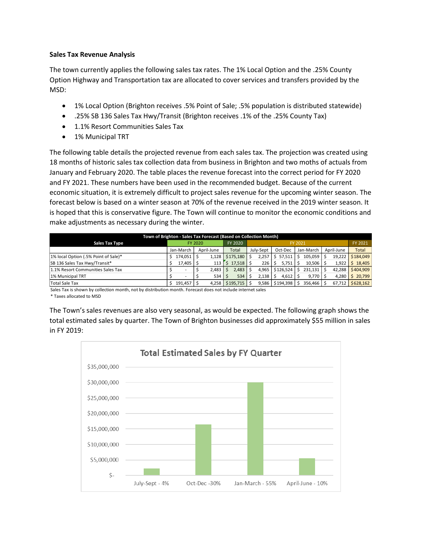#### **Sales Tax Revenue Analysis**

The town currently applies the following sales tax rates. The 1% Local Option and the .25% County Option Highway and Transportation tax are allocated to cover services and transfers provided by the MSD:

- 1% Local Option (Brighton receives .5% Point of Sale; .5% population is distributed statewide)
- .25% SB 136 Sales Tax Hwy/Transit (Brighton receives .1% of the .25% County Tax)
- 1.1% Resort Communities Sales Tax
- 1% Municipal TRT

The following table details the projected revenue from each sales tax. The projection was created using 18 months of historic sales tax collection data from business in Brighton and two moths of actuals from January and February 2020. The table places the revenue forecast into the correct period for FY 2020 and FY 2021. These numbers have been used in the recommended budget. Because of the current economic situation, it is extremely difficult to project sales revenue for the upcoming winter season. The forecast below is based on a winter season at 70% of the revenue received in the 2019 winter season. It is hoped that this is conservative figure. The Town will continue to monitor the economic conditions and make adjustments as necessary during the winter.

| Town of Brighton - Sales Tax Forecast (Based on Collection Month) |         |             |  |            |           |        |         |           |  |            |  |           |  |            |              |
|-------------------------------------------------------------------|---------|-------------|--|------------|-----------|--------|---------|-----------|--|------------|--|-----------|--|------------|--------------|
| <b>Sales Tax Type</b>                                             | FY 2020 |             |  |            | FY 2020   |        | FY 2021 |           |  |            |  |           |  |            | FY 2021      |
|                                                                   |         | Jan-March   |  | April-June | Total     |        |         | July-Sept |  | Oct-Dec    |  | Jan-March |  | April-June | <b>Total</b> |
| 1% local Option (.5% Point of Sale)*                              |         | 174.051     |  | 1,128      | \$175.180 |        |         | 2.257     |  | \$57.511   |  | 105.059   |  | 19.222     | \$184,049    |
| SB 136 Sales Tax Hwy/Transit*                                     |         | $17,405$ \$ |  | 113        | S.        | 17.518 |         | 226       |  | 5.751      |  | 10.506    |  | 1.922      | \$18.405     |
| 1.1% Resort Communities Sales Tax                                 |         |             |  | 2,483      |           | 2,483  |         | 4.965     |  | \$126.524  |  | 231,131   |  | 42.288     | \$404.909    |
| 1% Municipal TRT                                                  |         |             |  | 534        |           | 534    |         | 2,138     |  | $4,612$ \$ |  | $9,770$ S |  | 4.280      | \$20,799     |
| <b>Total Sale Tax</b>                                             |         | 191,457     |  | 4.258      | \$195.715 |        |         | 9.586     |  | \$194,398  |  | 356.466   |  | 67,712     | \$628,162    |

Sales Tax is shown by collection month, not by distribution month. Forecast does not include internet sales \* Taxes allocated to MSD

The Town's sales revenues are also very seasonal, as would be expected. The following graph shows the total estimated sales by quarter. The Town of Brighton businesses did approximately \$55 million in sales in FY 2019:

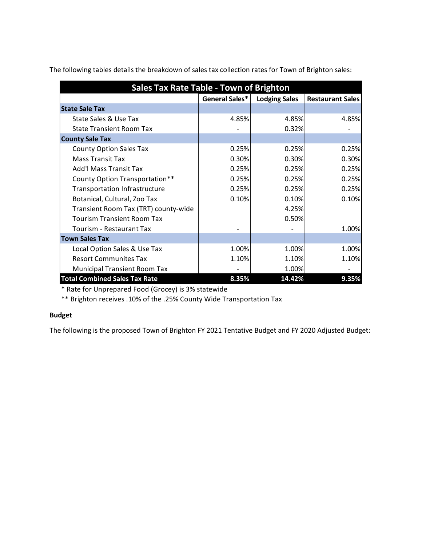The following tables details the breakdown of sales tax collection rates for Town of Brighton sales:

| <b>Sales Tax Rate Table - Town of Brighton</b> |                |                      |                         |  |  |  |  |  |  |
|------------------------------------------------|----------------|----------------------|-------------------------|--|--|--|--|--|--|
|                                                | General Sales* | <b>Lodging Sales</b> | <b>Restaurant Sales</b> |  |  |  |  |  |  |
| <b>State Sale Tax</b>                          |                |                      |                         |  |  |  |  |  |  |
| State Sales & Use Tax                          | 4.85%          | 4.85%                | 4.85%                   |  |  |  |  |  |  |
| <b>State Transient Room Tax</b>                |                | 0.32%                |                         |  |  |  |  |  |  |
| <b>County Sale Tax</b>                         |                |                      |                         |  |  |  |  |  |  |
| <b>County Option Sales Tax</b>                 | 0.25%          | 0.25%                | 0.25%                   |  |  |  |  |  |  |
| <b>Mass Transit Tax</b>                        | 0.30%          | 0.30%                | 0.30%                   |  |  |  |  |  |  |
| <b>Add'l Mass Transit Tax</b>                  | 0.25%          | 0.25%                | 0.25%                   |  |  |  |  |  |  |
| County Option Transportation**                 | 0.25%          | 0.25%                | 0.25%                   |  |  |  |  |  |  |
| <b>Transportation Infrastructure</b>           | 0.25%          | 0.25%                | 0.25%                   |  |  |  |  |  |  |
| Botanical, Cultural, Zoo Tax                   | 0.10%          | 0.10%                | 0.10%                   |  |  |  |  |  |  |
| Transient Room Tax (TRT) county-wide           |                | 4.25%                |                         |  |  |  |  |  |  |
| <b>Tourism Transient Room Tax</b>              |                | 0.50%                |                         |  |  |  |  |  |  |
| Tourism - Restaurant Tax                       |                |                      | 1.00%                   |  |  |  |  |  |  |
| <b>Town Sales Tax</b>                          |                |                      |                         |  |  |  |  |  |  |
| Local Option Sales & Use Tax                   | 1.00%          | 1.00%                | 1.00%                   |  |  |  |  |  |  |
| <b>Resort Communites Tax</b>                   | 1.10%          | 1.10%                | 1.10%                   |  |  |  |  |  |  |
| <b>Municipal Transient Room Tax</b>            |                | 1.00%                |                         |  |  |  |  |  |  |
| <b>Total Combined Sales Tax Rate</b>           | 8.35%          | 14.42%               | 9.35%                   |  |  |  |  |  |  |

\* Rate for Unprepared Food (Grocey) is 3% statewide

\*\* Brighton receives .10% of the .25% County Wide Transportation Tax

## **Budget**

The following is the proposed Town of Brighton FY 2021 Tentative Budget and FY 2020 Adjusted Budget: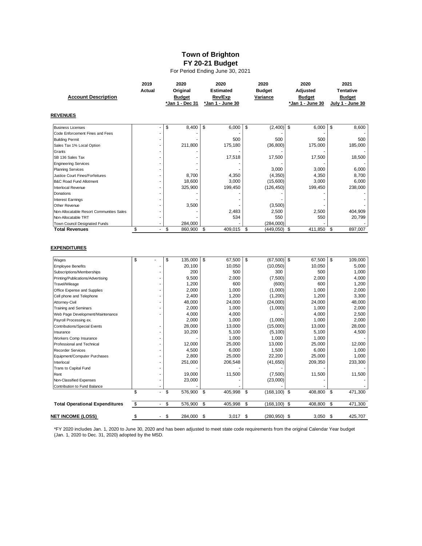# **Town of Brighton FY 20-21 Budget**

For Period Ending June 30, 2021

|                                          | 2019                           | 2020            |    | 2020             |    | 2020            | 2020             |               | 2021             |
|------------------------------------------|--------------------------------|-----------------|----|------------------|----|-----------------|------------------|---------------|------------------|
|                                          | <b>Actual</b>                  | Original        |    | <b>Estimated</b> |    | <b>Budget</b>   | Adjusted         |               | <b>Tentative</b> |
| <b>Account Description</b>               |                                | <b>Budget</b>   |    | Rev/Exp          |    | Variance        | <b>Budget</b>    | <b>Budget</b> |                  |
|                                          |                                | *Jan 1 - Dec 31 |    | *Jan 1 - June 30 |    |                 | *Jan 1 - June 30 |               | July 1 - June 30 |
| <b>REVENUES</b>                          |                                |                 |    |                  |    |                 |                  |               |                  |
| <b>Business Licenses</b>                 |                                | \$<br>8,400     | \$ | 6,000            | \$ | (2,400)         | \$<br>6,000      | \$            | 8,600            |
| Code Enforcement Fines and Fees          |                                |                 |    |                  |    |                 |                  |               |                  |
| <b>Building Permit</b>                   |                                |                 |    | 500              |    | 500             | 500              |               | 500              |
| Sales Tax 1% Local Option                |                                | 211,800         |    | 175,180          |    | (36, 800)       | 175,000          |               | 185,000          |
| Grants                                   |                                |                 |    |                  |    |                 |                  |               |                  |
| SB 136 Sales Tax                         |                                |                 |    | 17,518           |    | 17,500          | 17,500           |               | 18,500           |
| <b>Engineering Services</b>              |                                |                 |    |                  |    |                 |                  |               |                  |
| <b>Planning Services</b>                 |                                |                 |    |                  |    | 3,000           | 3,000            |               | 6,000            |
| Justice Court Fines/Forfeitures          |                                | 8,700           |    | 4,350            |    | (4, 350)        | 4,350            |               | 8,700            |
| <b>B&amp;C Road Fund Allotment</b>       |                                | 18,600          |    | 3,000            |    | (15,600)        | 3,000            |               | 6,000            |
| <b>Interlocal Revenue</b>                |                                | 325,900         |    | 199,450          |    | (126, 450)      | 199,450          |               | 238,000          |
| Donations                                |                                |                 |    |                  |    |                 |                  |               |                  |
| <b>Interest Earnings</b>                 |                                |                 |    |                  |    |                 |                  |               |                  |
| Other Revenue                            |                                | 3,500           |    |                  |    | (3,500)         |                  |               |                  |
| Non-Allocatable Resort Communities Sales |                                |                 |    | 2,483            |    | 2,500           | 2,500            |               | 404,909          |
| Non-Allocatable TRT                      |                                |                 |    | 534              |    | 550             | 550              |               | 20,799           |
| Town Council Designated Funds            |                                | 284,000         |    |                  |    | (284,000)       |                  |               |                  |
| <b>Total Revenues</b>                    | \$<br>ä,                       | \$<br>860,900   | \$ | 409,015          | \$ | (449, 050)      | -\$<br>411,850   | \$            | 897,007          |
| Wages                                    | \$                             | \$<br>135,000   | \$ | 67,500           | \$ | (67, 500)       | \$<br>67,500     | \$            | 109,000          |
| <b>Employee Benefits</b>                 |                                | 20,100          |    | 10,050           |    | (10,050)        | 10,050           |               | 5,000            |
| Subscriptions/Memberships                |                                | 200             |    | 500              |    | 300             | 500              |               | 1,000            |
| Printing/Publications/Advertising        |                                | 9,500           |    | 2,000            |    | (7,500)         | 2,000            |               | 4,000            |
| Travel/Mileage                           |                                | 1,200           |    | 600              |    | (600)           | 600              |               | 1,200            |
| Office Expense and Supplies              |                                | 2,000           |    | 1,000            |    | (1,000)         | 1,000            |               | 2,000            |
| Cell phone and Telephone                 |                                | 2,400           |    | 1,200            |    | (1,200)         | 1,200            |               | 3,300            |
| Attorney-Civil                           |                                | 48,000          |    | 24,000           |    | (24,000)        | 24,000           |               | 48,000           |
| <b>Training and Seminars</b>             |                                | 2,000           |    | 1,000            |    | (1,000)         | 1,000            |               | 2,000            |
| Web Page Development/Maintenance         |                                | 4,000           |    | 4,000            |    |                 | 4,000            |               | 2,500            |
| Payroll Processing ex.                   |                                | 2,000           |    | 1,000            |    | (1,000)         | 1,000            |               | 2,000            |
| <b>Contributions/Special Events</b>      |                                | 28,000          |    | 13,000           |    | (15,000)        | 13,000           |               | 28,000           |
| Insurance                                |                                | 10,200          |    | 5,100            |    | (5, 100)        | 5,100            |               | 4,500            |
| Workers Comp Insurance                   |                                |                 |    | 1,000            |    | 1,000           | 1,000            |               |                  |
| Professional and Technical               |                                | 12,000          |    | 25,000           |    | 13,000          | 25,000           |               | 12,000           |
| <b>Recorder Services</b>                 |                                | 4,500           |    | 6,000            |    | 1,500           | 6,000            |               | 1,000            |
| Equipment/Computer Purchases             |                                | 2,800           |    | 25,000           |    | 22,200          | 25,000           |               | 1,000            |
| Interlocal                               |                                | 251,000         |    | 206,548          |    | (41, 650)       | 209,350          |               | 233,300          |
| Trans to Capital Fund                    |                                |                 |    |                  |    |                 |                  |               |                  |
| Rent                                     |                                | 19,000          |    | 11,500           |    | (7,500)         | 11,500           |               | 11,500           |
| Non-Classified Expenses                  | ä,                             | 23,000          |    |                  |    | (23,000)        |                  |               |                  |
| Contribution to Fund Balance             | \$                             | \$<br>576,900   | \$ | 405,998          | \$ | $(168, 100)$ \$ | 408,800          | \$            | 471,300          |
| <b>Total Operational Expenditures</b>    | \$<br>$\overline{\phantom{a}}$ | \$<br>576,900   | \$ | 405,998          | \$ | (168, 100)      | \$<br>408,800    | \$            | 471.300          |
|                                          |                                |                 |    |                  |    |                 |                  |               |                  |
| NET INCOME (LOSS)                        | \$                             | \$<br>284.000   | \$ | 3,017            | \$ | $(280, 950)$ \$ | 3,050            | \$            | 425,707          |

\*FY 2020 includes Jan. 1, 2020 to June 30, 2020 and has been adjusted to meet state code requirements from the original Calendar Year budget (Jan. 1, 2020 to Dec. 31, 2020) adopted by the MSD.